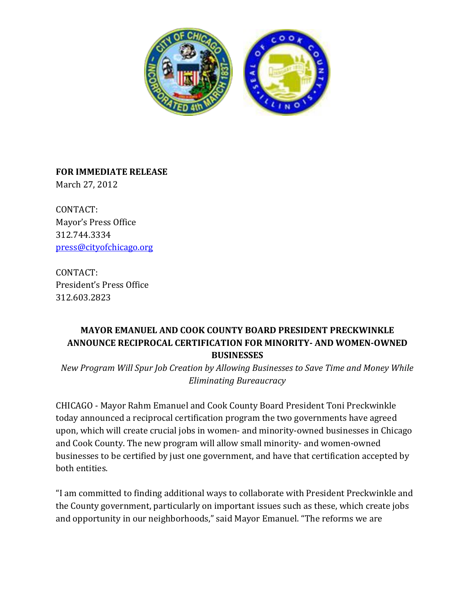

**FOR IMMEDIATE RELEASE** March 27, 2012

CONTACT: Mayor's Press Office 312.744.3334 [press@cityofchicago.org](mailto:press@cityofchicago.org)

CONTACT: President's Press Office 312.603.2823

## **MAYOR EMANUEL AND COOK COUNTY BOARD PRESIDENT PRECKWINKLE ANNOUNCE RECIPROCAL CERTIFICATION FOR MINORITY- AND WOMEN-OWNED BUSINESSES**

*New Program Will Spur Job Creation by Allowing Businesses to Save Time and Money While Eliminating Bureaucracy*

CHICAGO - Mayor Rahm Emanuel and Cook County Board President Toni Preckwinkle today announced a reciprocal certification program the two governments have agreed upon, which will create crucial jobs in women- and minority-owned businesses in Chicago and Cook County. The new program will allow small minority- and women-owned businesses to be certified by just one government, and have that certification accepted by both entities.

"I am committed to finding additional ways to collaborate with President Preckwinkle and the County government, particularly on important issues such as these, which create jobs and opportunity in our neighborhoods," said Mayor Emanuel. "The reforms we are